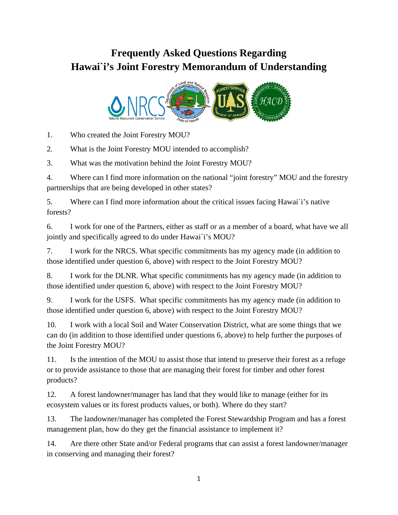# **Frequently Asked Questions Regarding Hawai`i's Joint Forestry Memorandum of Understanding**



1. Who created the Joint Forestry MOU?

2. What is the Joint Forestry MOU intended to accomplish?

3. What was the motivation behind the Joint Forestry MOU?

4. Where can I find more information on the national "joint forestry" MOU and the forestry partnerships that are being developed in other states?

5. Where can I find more information about the critical issues facing Hawai`i's native forests?

6. I work for one of the Partners, either as staff or as a member of a board, what have we all jointly and specifically agreed to do under Hawai`i's MOU?

7. I work for the NRCS. What specific commitments has my agency made (in addition to those identified under question 6, above) with respect to the Joint Forestry MOU?

8. I work for the DLNR. What specific commitments has my agency made (in addition to those identified under question 6, above) with respect to the Joint Forestry MOU?

9. I work for the USFS. What specific commitments has my agency made (in addition to those identified under question 6, above) with respect to the Joint Forestry MOU?

10. I work with a local Soil and Water Conservation District, what are some things that we can do (in addition to those identified under questions 6, above) to help further the purposes of the Joint Forestry MOU?

11. Is the intention of the MOU to assist those that intend to preserve their forest as a refuge or to provide assistance to those that are managing their forest for timber and other forest products?

12. A forest landowner/manager has land that they would like to manage (either for its ecosystem values or its forest products values, or both). Where do they start?

13. The landowner/manager has completed the Forest Stewardship Program and has a forest management plan, how do they get the financial assistance to implement it?

14. Are there other State and/or Federal programs that can assist a forest landowner/manager in conserving and managing their forest?

1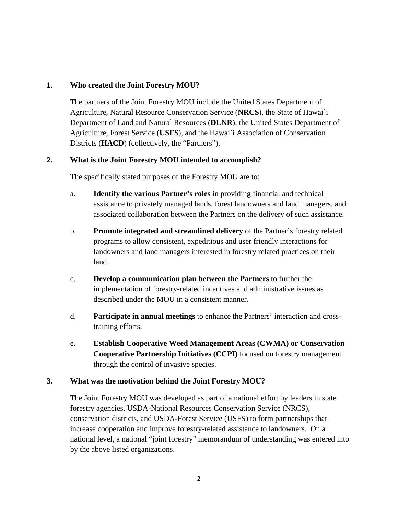#### **1. Who created the Joint Forestry MOU?**

The partners of the Joint Forestry MOU include the United States Department of Agriculture, Natural Resource Conservation Service (**NRCS**), the State of Hawai`i Department of Land and Natural Resources (**DLNR**), the United States Department of Agriculture, Forest Service (**USFS**), and the Hawai`i Association of Conservation Districts (**HACD**) (collectively, the "Partners").

#### **2. What is the Joint Forestry MOU intended to accomplish?**

The specifically stated purposes of the Forestry MOU are to:

- a. **Identify the various Partner's roles** in providing financial and technical assistance to privately managed lands, forest landowners and land managers, and associated collaboration between the Partners on the delivery of such assistance.
- b. **Promote integrated and streamlined delivery** of the Partner's forestry related programs to allow consistent, expeditious and user friendly interactions for landowners and land managers interested in forestry related practices on their land.
- c. **Develop a communication plan between the Partners** to further the implementation of forestry-related incentives and administrative issues as described under the MOU in a consistent manner.
- d. **Participate in annual meetings** to enhance the Partners' interaction and crosstraining efforts.
- e. **Establish Cooperative Weed Management Areas (CWMA) or Conservation Cooperative Partnership Initiatives (CCPI)** focused on forestry management through the control of invasive species.

#### **3. What was the motivation behind the Joint Forestry MOU?**

The Joint Forestry MOU was developed as part of a national effort by leaders in state forestry agencies, USDA-National Resources Conservation Service (NRCS), conservation districts, and USDA-Forest Service (USFS) to form partnerships that increase cooperation and improve forestry-related assistance to landowners. On a national level, a national "joint forestry" memorandum of understanding was entered into by the above listed organizations.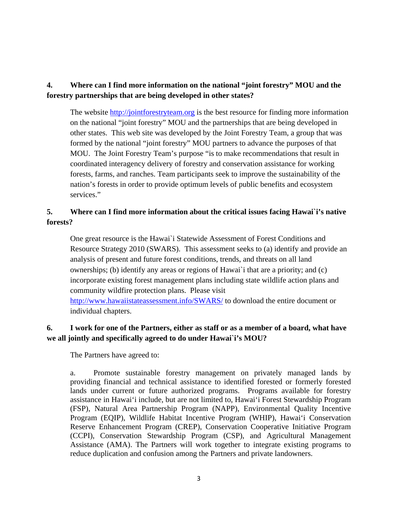## **4. Where can I find more information on the national "joint forestry" MOU and the forestry partnerships that are being developed in other states?**

The website http://jointforestryteam.org is the best resource for finding more information on the national "joint forestry" MOU and the partnerships that are being developed in other states. This web site was developed by the Joint Forestry Team, a group that was formed by the national "joint forestry" MOU partners to advance the purposes of that MOU. The Joint Forestry Team's purpose "is to make recommendations that result in coordinated interagency delivery of forestry and conservation assistance for working forests, farms, and ranches. Team participants seek to improve the sustainability of the nation's forests in order to provide optimum levels of public benefits and ecosystem services."

## **5. Where can I find more information about the critical issues facing Hawai`i's native forests?**

One great resource is the Hawai`i Statewide Assessment of Forest Conditions and Resource Strategy 2010 (SWARS). This assessment seeks to (a) identify and provide an analysis of present and future forest conditions, trends, and threats on all land ownerships; (b) identify any areas or regions of Hawai`i that are a priority; and (c) incorporate existing forest management plans including state wildlife action plans and community wildfire protection plans. Please visit http://www.hawaiistateassessment.info/SWARS/ to download the entire document or individual chapters.

### **6. I work for one of the Partners, either as staff or as a member of a board, what have we all jointly and specifically agreed to do under Hawai`i's MOU?**

The Partners have agreed to:

a. Promote sustainable forestry management on privately managed lands by providing financial and technical assistance to identified forested or formerly forested lands under current or future authorized programs. Programs available for forestry assistance in Hawai'i include, but are not limited to, Hawai'i Forest Stewardship Program (FSP), Natural Area Partnership Program (NAPP), Environmental Quality Incentive Program (EQIP), Wildlife Habitat Incentive Program (WHIP), Hawai'i Conservation Reserve Enhancement Program (CREP), Conservation Cooperative Initiative Program (CCPI), Conservation Stewardship Program (CSP), and Agricultural Management Assistance (AMA). The Partners will work together to integrate existing programs to reduce duplication and confusion among the Partners and private landowners.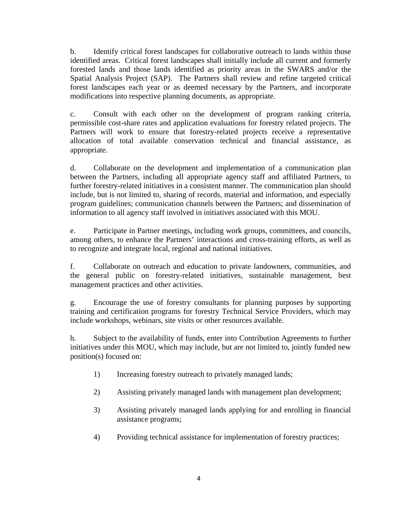b. Identify critical forest landscapes for collaborative outreach to lands within those identified areas. Critical forest landscapes shall initially include all current and formerly forested lands and those lands identified as priority areas in the SWARS and/or the Spatial Analysis Project (SAP). The Partners shall review and refine targeted critical forest landscapes each year or as deemed necessary by the Partners, and incorporate modifications into respective planning documents, as appropriate.

c. Consult with each other on the development of program ranking criteria, permissible cost-share rates and application evaluations for forestry related projects. The Partners will work to ensure that forestry-related projects receive a representative allocation of total available conservation technical and financial assistance, as appropriate.

d. Collaborate on the development and implementation of a communication plan between the Partners, including all appropriate agency staff and affiliated Partners, to further forestry-related initiatives in a consistent manner. The communication plan should include, but is not limited to, sharing of records, material and information, and especially program guidelines; communication channels between the Partners; and dissemination of information to all agency staff involved in initiatives associated with this MOU.

e. Participate in Partner meetings, including work groups, committees, and councils, among others, to enhance the Partners' interactions and cross-training efforts, as well as to recognize and integrate local, regional and national initiatives.

f. Collaborate on outreach and education to private landowners, communities, and the general public on forestry-related initiatives, sustainable management, best management practices and other activities.

g. Encourage the use of forestry consultants for planning purposes by supporting training and certification programs for forestry Technical Service Providers, which may include workshops, webinars, site visits or other resources available.

h. Subject to the availability of funds, enter into Contribution Agreements to further initiatives under this MOU, which may include, but are not limited to, jointly funded new position(s) focused on:

- 1) Increasing forestry outreach to privately managed lands;
- 2) Assisting privately managed lands with management plan development;
- 3) Assisting privately managed lands applying for and enrolling in financial assistance programs;
- 4) Providing technical assistance for implementation of forestry practices;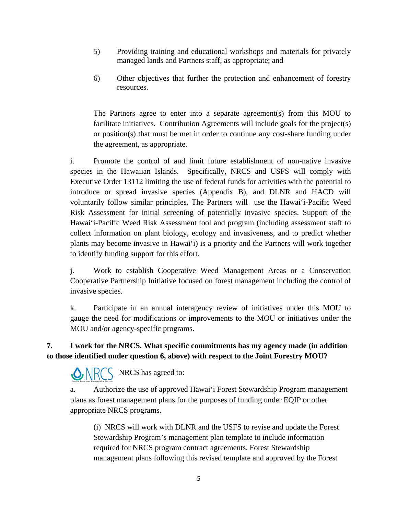- 5) Providing training and educational workshops and materials for privately managed lands and Partners staff, as appropriate; and
- 6) Other objectives that further the protection and enhancement of forestry resources.

The Partners agree to enter into a separate agreement(s) from this MOU to facilitate initiatives. Contribution Agreements will include goals for the project(s) or position(s) that must be met in order to continue any cost-share funding under the agreement, as appropriate.

i. Promote the control of and limit future establishment of non-native invasive species in the Hawaiian Islands. Specifically, NRCS and USFS will comply with Executive Order 13112 limiting the use of federal funds for activities with the potential to introduce or spread invasive species (Appendix B), and DLNR and HACD will voluntarily follow similar principles. The Partners will use the Hawai'i-Pacific Weed Risk Assessment for initial screening of potentially invasive species. Support of the Hawai'i-Pacific Weed Risk Assessment tool and program (including assessment staff to collect information on plant biology, ecology and invasiveness, and to predict whether plants may become invasive in Hawai'i) is a priority and the Partners will work together to identify funding support for this effort.

j. Work to establish Cooperative Weed Management Areas or a Conservation Cooperative Partnership Initiative focused on forest management including the control of invasive species.

k. Participate in an annual interagency review of initiatives under this MOU to gauge the need for modifications or improvements to the MOU or initiatives under the MOU and/or agency-specific programs.

# **7. I work for the NRCS. What specific commitments has my agency made (in addition to those identified under question 6, above) with respect to the Joint Forestry MOU?**

NRCS has agreed to:

a. Authorize the use of approved Hawai'i Forest Stewardship Program management plans as forest management plans for the purposes of funding under EQIP or other appropriate NRCS programs.

(i) NRCS will work with DLNR and the USFS to revise and update the Forest Stewardship Program's management plan template to include information required for NRCS program contract agreements. Forest Stewardship management plans following this revised template and approved by the Forest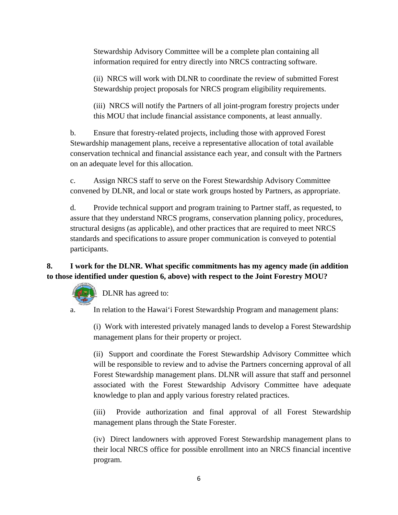Stewardship Advisory Committee will be a complete plan containing all information required for entry directly into NRCS contracting software.

(ii) NRCS will work with DLNR to coordinate the review of submitted Forest Stewardship project proposals for NRCS program eligibility requirements.

(iii) NRCS will notify the Partners of all joint-program forestry projects under this MOU that include financial assistance components, at least annually.

b. Ensure that forestry-related projects, including those with approved Forest Stewardship management plans, receive a representative allocation of total available conservation technical and financial assistance each year, and consult with the Partners on an adequate level for this allocation.

c. Assign NRCS staff to serve on the Forest Stewardship Advisory Committee convened by DLNR, and local or state work groups hosted by Partners, as appropriate.

d. Provide technical support and program training to Partner staff, as requested, to assure that they understand NRCS programs, conservation planning policy, procedures, structural designs (as applicable), and other practices that are required to meet NRCS standards and specifications to assure proper communication is conveyed to potential participants.

# **8. I work for the DLNR. What specific commitments has my agency made (in addition to those identified under question 6, above) with respect to the Joint Forestry MOU?**



a. In relation to the Hawai'i Forest Stewardship Program and management plans:

(i) Work with interested privately managed lands to develop a Forest Stewardship management plans for their property or project.

(ii) Support and coordinate the Forest Stewardship Advisory Committee which will be responsible to review and to advise the Partners concerning approval of all Forest Stewardship management plans. DLNR will assure that staff and personnel associated with the Forest Stewardship Advisory Committee have adequate knowledge to plan and apply various forestry related practices.

(iii) Provide authorization and final approval of all Forest Stewardship management plans through the State Forester.

(iv) Direct landowners with approved Forest Stewardship management plans to their local NRCS office for possible enrollment into an NRCS financial incentive program.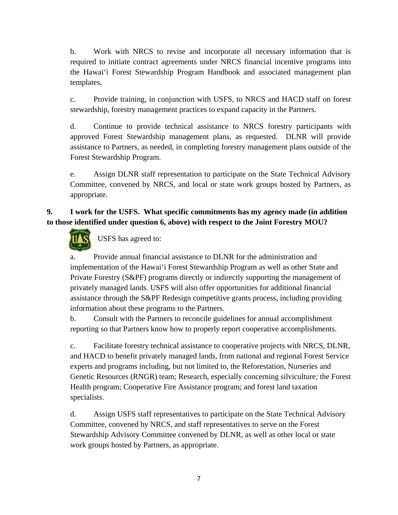b. Work with NRCS to revise and incorporate all necessary information that is required to initiate contract agreements under NRCS financial incentive programs into the Hawai'i Forest Stewardship Program Handbook and associated management plan templates.

c. Provide training, in conjunction with USFS, to NRCS and HACD staff on forest stewardship, forestry management practices to expand capacity in the Partners.

d. Continue to provide technical assistance to NRCS forestry participants with approved Forest Stewardship management plans, as requested. DLNR will provide assistance to Partners, as needed, in completing forestry management plans outside of the Forest Stewardship Program.

e. Assign DLNR staff representation to participate on the State Technical Advisory Committee, convened by NRCS, and local or state work groups hosted by Partners, as appropriate.

# **9. I work for the USFS. What specific commitments has my agency made (in addition to those identified under question 6, above) with respect to the Joint Forestry MOU?**



USFS has agreed to:

a. Provide annual financial assistance to DLNR for the administration and implementation of the Hawai'i Forest Stewardship Program as well as other State and Private Forestry (S&PF) programs directly or indirectly supporting the management of privately managed lands. USFS will also offer opportunities for additional financial assistance through the S&PF Redesign competitive grants process, including providing information about these programs to the Partners.

b. Consult with the Partners to reconcile guidelines for annual accomplishment reporting so that Partners know how to properly report cooperative accomplishments.

c. Facilitate forestry technical assistance to cooperative projects with NRCS, DLNR, and HACD to benefit privately managed lands, from national and regional Forest Service experts and programs including, but not limited to, the Reforestation, Nurseries and Genetic Resources (RNGR) team; Research, especially concerning silviculture; the Forest Health program; Cooperative Fire Assistance program; and forest land taxation specialists.

d. Assign USFS staff representatives to participate on the State Technical Advisory Committee, convened by NRCS, and staff representatives to serve on the Forest Stewardship Advisory Committee convened by DLNR, as well as other local or state work groups hosted by Partners, as appropriate.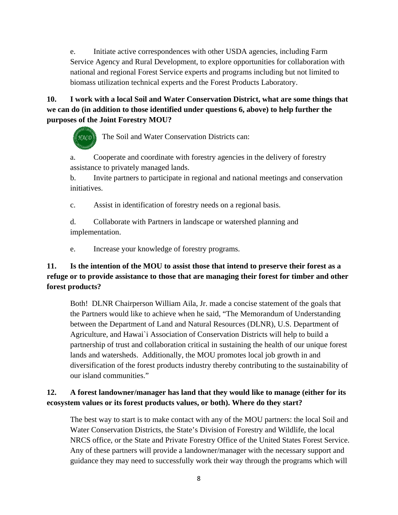e. Initiate active correspondences with other USDA agencies, including Farm Service Agency and Rural Development, to explore opportunities for collaboration with national and regional Forest Service experts and programs including but not limited to biomass utilization technical experts and the Forest Products Laboratory.

# **10. I work with a local Soil and Water Conservation District, what are some things that we can do (in addition to those identified under questions 6, above) to help further the purposes of the Joint Forestry MOU?**

 $\mathcal{H}_{ACO}$  The Soil and Water Conservation Districts can:

a. Cooperate and coordinate with forestry agencies in the delivery of forestry assistance to privately managed lands.

b. Invite partners to participate in regional and national meetings and conservation initiatives.

c. Assist in identification of forestry needs on a regional basis.

d. Collaborate with Partners in landscape or watershed planning and implementation.

e. Increase your knowledge of forestry programs.

# **11. Is the intention of the MOU to assist those that intend to preserve their forest as a refuge or to provide assistance to those that are managing their forest for timber and other forest products?**

Both! DLNR Chairperson William Aila, Jr. made a concise statement of the goals that the Partners would like to achieve when he said, "The Memorandum of Understanding between the Department of Land and Natural Resources (DLNR), U.S. Department of Agriculture, and Hawai`i Association of Conservation Districts will help to build a partnership of trust and collaboration critical in sustaining the health of our unique forest lands and watersheds. Additionally, the MOU promotes local job growth in and diversification of the forest products industry thereby contributing to the sustainability of our island communities."

# **12. A forest landowner/manager has land that they would like to manage (either for its ecosystem values or its forest products values, or both). Where do they start?**

The best way to start is to make contact with any of the MOU partners: the local Soil and Water Conservation Districts, the State's Division of Forestry and Wildlife, the local NRCS office, or the State and Private Forestry Office of the United States Forest Service. Any of these partners will provide a landowner/manager with the necessary support and guidance they may need to successfully work their way through the programs which will